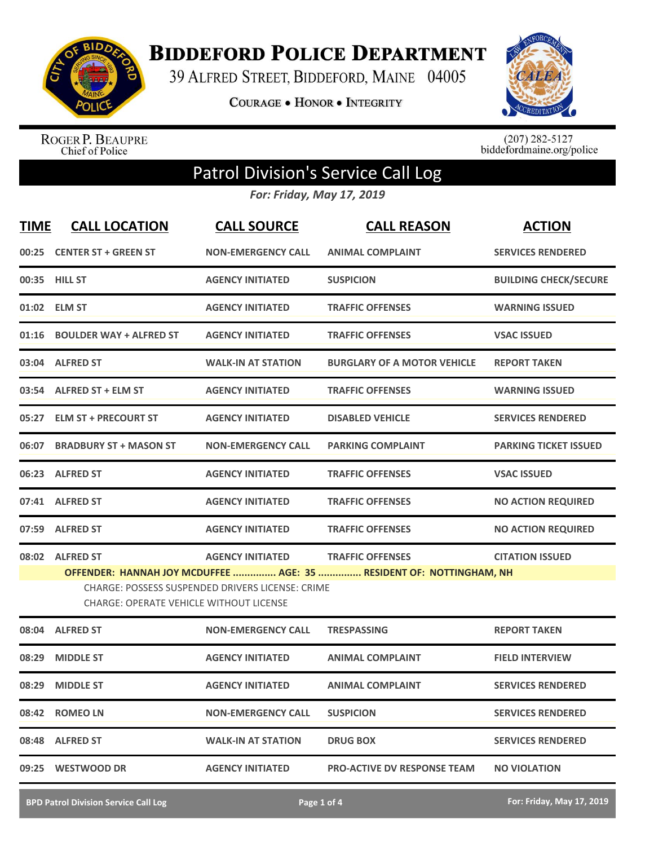

**BIDDEFORD POLICE DEPARTMENT** 

39 ALFRED STREET, BIDDEFORD, MAINE 04005

**COURAGE . HONOR . INTEGRITY** 



ROGER P. BEAUPRE<br>Chief of Police

 $(207)$  282-5127<br>biddefordmaine.org/police

## Patrol Division's Service Call Log

*For: Friday, May 17, 2019*

| <b>TIME</b> | <b>CALL LOCATION</b>                                                                                      | <b>CALL SOURCE</b>        | <b>CALL REASON</b>                                                  | <b>ACTION</b>                |
|-------------|-----------------------------------------------------------------------------------------------------------|---------------------------|---------------------------------------------------------------------|------------------------------|
|             | 00:25 CENTER ST + GREEN ST                                                                                | <b>NON-EMERGENCY CALL</b> | <b>ANIMAL COMPLAINT</b>                                             | <b>SERVICES RENDERED</b>     |
|             | 00:35 HILL ST                                                                                             | <b>AGENCY INITIATED</b>   | <b>SUSPICION</b>                                                    | <b>BUILDING CHECK/SECURE</b> |
|             | 01:02 ELM ST                                                                                              | <b>AGENCY INITIATED</b>   | <b>TRAFFIC OFFENSES</b>                                             | <b>WARNING ISSUED</b>        |
|             | 01:16 BOULDER WAY + ALFRED ST                                                                             | <b>AGENCY INITIATED</b>   | <b>TRAFFIC OFFENSES</b>                                             | <b>VSAC ISSUED</b>           |
|             | 03:04 ALFRED ST                                                                                           | <b>WALK-IN AT STATION</b> | <b>BURGLARY OF A MOTOR VEHICLE</b>                                  | <b>REPORT TAKEN</b>          |
|             | 03:54 ALFRED ST + ELM ST                                                                                  | <b>AGENCY INITIATED</b>   | <b>TRAFFIC OFFENSES</b>                                             | <b>WARNING ISSUED</b>        |
|             | 05:27 ELM ST + PRECOURT ST                                                                                | <b>AGENCY INITIATED</b>   | <b>DISABLED VEHICLE</b>                                             | <b>SERVICES RENDERED</b>     |
| 06:07       | <b>BRADBURY ST + MASON ST</b>                                                                             | <b>NON-EMERGENCY CALL</b> | <b>PARKING COMPLAINT</b>                                            | <b>PARKING TICKET ISSUED</b> |
|             | 06:23 ALFRED ST                                                                                           | <b>AGENCY INITIATED</b>   | <b>TRAFFIC OFFENSES</b>                                             | <b>VSAC ISSUED</b>           |
|             | 07:41 ALFRED ST                                                                                           | <b>AGENCY INITIATED</b>   | <b>TRAFFIC OFFENSES</b>                                             | <b>NO ACTION REQUIRED</b>    |
|             | 07:59 ALFRED ST                                                                                           | <b>AGENCY INITIATED</b>   | <b>TRAFFIC OFFENSES</b>                                             | <b>NO ACTION REQUIRED</b>    |
|             | 08:02 ALFRED ST                                                                                           | <b>AGENCY INITIATED</b>   | <b>TRAFFIC OFFENSES</b>                                             | <b>CITATION ISSUED</b>       |
|             |                                                                                                           |                           | OFFENDER: HANNAH JOY MCDUFFEE  AGE: 35  RESIDENT OF: NOTTINGHAM, NH |                              |
|             | <b>CHARGE: POSSESS SUSPENDED DRIVERS LICENSE: CRIME</b><br><b>CHARGE: OPERATE VEHICLE WITHOUT LICENSE</b> |                           |                                                                     |                              |
|             | 08:04 ALFRED ST                                                                                           | <b>NON-EMERGENCY CALL</b> | <b>TRESPASSING</b>                                                  | <b>REPORT TAKEN</b>          |
| 08:29       | <b>MIDDLE ST</b>                                                                                          | <b>AGENCY INITIATED</b>   | <b>ANIMAL COMPLAINT</b>                                             | <b>FIELD INTERVIEW</b>       |
|             | 08:29 MIDDLE ST                                                                                           | <b>AGENCY INITIATED</b>   | <b>ANIMAL COMPLAINT</b>                                             | <b>SERVICES RENDERED</b>     |
|             | 08:42 ROMEO LN                                                                                            | <b>NON-EMERGENCY CALL</b> | <b>SUSPICION</b>                                                    | <b>SERVICES RENDERED</b>     |
|             | 08:48 ALFRED ST                                                                                           | <b>WALK-IN AT STATION</b> | <b>DRUG BOX</b>                                                     | <b>SERVICES RENDERED</b>     |
|             | 09:25 WESTWOOD DR                                                                                         | <b>AGENCY INITIATED</b>   | <b>PRO-ACTIVE DV RESPONSE TEAM</b>                                  | <b>NO VIOLATION</b>          |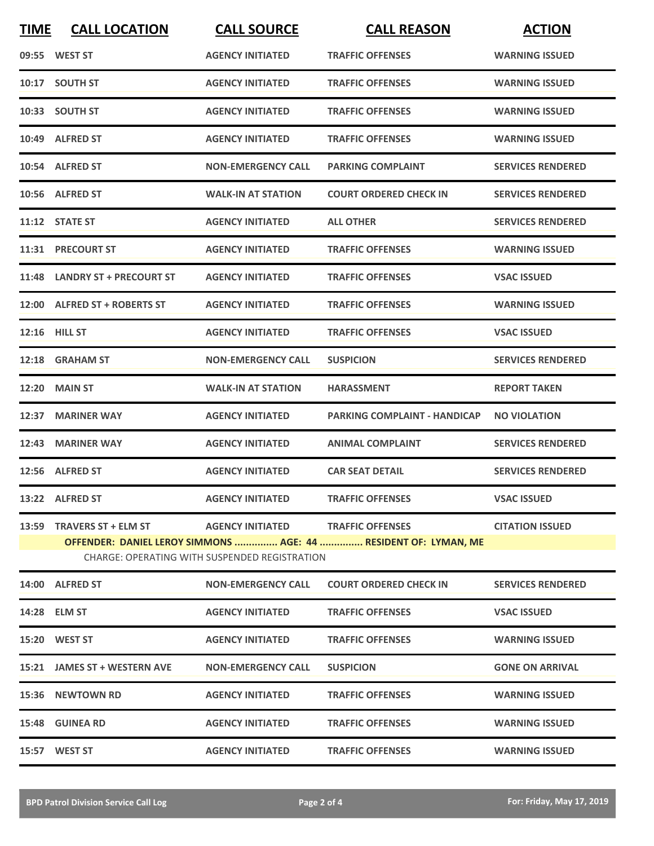| <b>TIME</b> | <b>CALL LOCATION</b>                                                                                             | <b>CALL SOURCE</b>        | <b>CALL REASON</b>                  | <b>ACTION</b>            |  |  |
|-------------|------------------------------------------------------------------------------------------------------------------|---------------------------|-------------------------------------|--------------------------|--|--|
|             | 09:55 WEST ST                                                                                                    | <b>AGENCY INITIATED</b>   | <b>TRAFFIC OFFENSES</b>             | <b>WARNING ISSUED</b>    |  |  |
|             | 10:17 SOUTH ST                                                                                                   | <b>AGENCY INITIATED</b>   | <b>TRAFFIC OFFENSES</b>             | <b>WARNING ISSUED</b>    |  |  |
|             | 10:33 SOUTH ST                                                                                                   | <b>AGENCY INITIATED</b>   | <b>TRAFFIC OFFENSES</b>             | <b>WARNING ISSUED</b>    |  |  |
|             | 10:49 ALFRED ST                                                                                                  | <b>AGENCY INITIATED</b>   | <b>TRAFFIC OFFENSES</b>             | <b>WARNING ISSUED</b>    |  |  |
|             | 10:54 ALFRED ST                                                                                                  | <b>NON-EMERGENCY CALL</b> | <b>PARKING COMPLAINT</b>            | <b>SERVICES RENDERED</b> |  |  |
|             | 10:56 ALFRED ST                                                                                                  | <b>WALK-IN AT STATION</b> | <b>COURT ORDERED CHECK IN</b>       | <b>SERVICES RENDERED</b> |  |  |
|             | 11:12 STATE ST                                                                                                   | <b>AGENCY INITIATED</b>   | <b>ALL OTHER</b>                    | <b>SERVICES RENDERED</b> |  |  |
|             | 11:31 PRECOURT ST                                                                                                | <b>AGENCY INITIATED</b>   | <b>TRAFFIC OFFENSES</b>             | <b>WARNING ISSUED</b>    |  |  |
|             | 11:48 LANDRY ST + PRECOURT ST                                                                                    | <b>AGENCY INITIATED</b>   | <b>TRAFFIC OFFENSES</b>             | <b>VSAC ISSUED</b>       |  |  |
|             | 12:00 ALFRED ST + ROBERTS ST                                                                                     | <b>AGENCY INITIATED</b>   | <b>TRAFFIC OFFENSES</b>             | <b>WARNING ISSUED</b>    |  |  |
|             | <b>12:16 HILL ST</b>                                                                                             | <b>AGENCY INITIATED</b>   | <b>TRAFFIC OFFENSES</b>             | <b>VSAC ISSUED</b>       |  |  |
|             | 12:18 GRAHAM ST                                                                                                  | <b>NON-EMERGENCY CALL</b> | <b>SUSPICION</b>                    | <b>SERVICES RENDERED</b> |  |  |
|             | <b>12:20 MAIN ST</b>                                                                                             | <b>WALK-IN AT STATION</b> | <b>HARASSMENT</b>                   | <b>REPORT TAKEN</b>      |  |  |
|             | 12:37 MARINER WAY                                                                                                | <b>AGENCY INITIATED</b>   | <b>PARKING COMPLAINT - HANDICAP</b> | <b>NO VIOLATION</b>      |  |  |
|             | 12:43 MARINER WAY                                                                                                | <b>AGENCY INITIATED</b>   | <b>ANIMAL COMPLAINT</b>             | <b>SERVICES RENDERED</b> |  |  |
|             | 12:56 ALFRED ST                                                                                                  | <b>AGENCY INITIATED</b>   | <b>CAR SEAT DETAIL</b>              | <b>SERVICES RENDERED</b> |  |  |
|             | 13:22 ALFRED ST                                                                                                  | <b>AGENCY INITIATED</b>   | <b>TRAFFIC OFFENSES</b>             | <b>VSAC ISSUED</b>       |  |  |
|             |                                                                                                                  |                           |                                     | <b>CITATION ISSUED</b>   |  |  |
|             | OFFENDER: DANIEL LEROY SIMMONS  AGE: 44  RESIDENT OF: LYMAN, ME<br>CHARGE: OPERATING WITH SUSPENDED REGISTRATION |                           |                                     |                          |  |  |
|             | 14:00 ALFRED ST                                                                                                  | <b>NON-EMERGENCY CALL</b> | <b>COURT ORDERED CHECK IN</b>       | <b>SERVICES RENDERED</b> |  |  |
|             | 14:28 ELM ST                                                                                                     | <b>AGENCY INITIATED</b>   | <b>TRAFFIC OFFENSES</b>             | <b>VSAC ISSUED</b>       |  |  |
|             | 15:20 WEST ST                                                                                                    | <b>AGENCY INITIATED</b>   | <b>TRAFFIC OFFENSES</b>             | <b>WARNING ISSUED</b>    |  |  |
|             | 15:21 JAMES ST + WESTERN AVE                                                                                     | <b>NON-EMERGENCY CALL</b> | <b>SUSPICION</b>                    | <b>GONE ON ARRIVAL</b>   |  |  |
|             | 15:36 NEWTOWN RD                                                                                                 | <b>AGENCY INITIATED</b>   | <b>TRAFFIC OFFENSES</b>             | <b>WARNING ISSUED</b>    |  |  |
|             | <b>15:48 GUINEA RD</b>                                                                                           | <b>AGENCY INITIATED</b>   | <b>TRAFFIC OFFENSES</b>             | <b>WARNING ISSUED</b>    |  |  |
|             | 15:57 WEST ST                                                                                                    | <b>AGENCY INITIATED</b>   | <b>TRAFFIC OFFENSES</b>             | <b>WARNING ISSUED</b>    |  |  |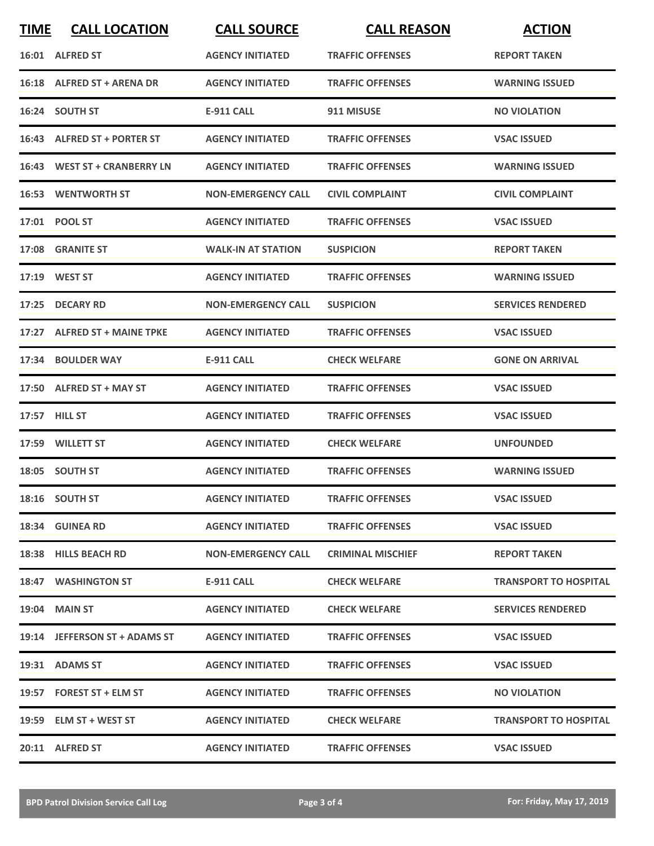| <b>TIME</b> | <b>CALL LOCATION</b>          | <b>CALL SOURCE</b>        | <b>CALL REASON</b>       | <b>ACTION</b>                |
|-------------|-------------------------------|---------------------------|--------------------------|------------------------------|
|             | 16:01 ALFRED ST               | <b>AGENCY INITIATED</b>   | <b>TRAFFIC OFFENSES</b>  | <b>REPORT TAKEN</b>          |
|             | 16:18 ALFRED ST + ARENA DR    | <b>AGENCY INITIATED</b>   | <b>TRAFFIC OFFENSES</b>  | <b>WARNING ISSUED</b>        |
|             | 16:24 SOUTH ST                | E-911 CALL                | 911 MISUSE               | <b>NO VIOLATION</b>          |
|             | 16:43 ALFRED ST + PORTER ST   | <b>AGENCY INITIATED</b>   | <b>TRAFFIC OFFENSES</b>  | <b>VSAC ISSUED</b>           |
|             | 16:43 WEST ST + CRANBERRY LN  | <b>AGENCY INITIATED</b>   | <b>TRAFFIC OFFENSES</b>  | <b>WARNING ISSUED</b>        |
|             | <b>16:53 WENTWORTH ST</b>     | <b>NON-EMERGENCY CALL</b> | <b>CIVIL COMPLAINT</b>   | <b>CIVIL COMPLAINT</b>       |
|             | 17:01 POOL ST                 | <b>AGENCY INITIATED</b>   | <b>TRAFFIC OFFENSES</b>  | <b>VSAC ISSUED</b>           |
|             | 17:08 GRANITE ST              | <b>WALK-IN AT STATION</b> | <b>SUSPICION</b>         | <b>REPORT TAKEN</b>          |
|             | 17:19 WEST ST                 | <b>AGENCY INITIATED</b>   | <b>TRAFFIC OFFENSES</b>  | <b>WARNING ISSUED</b>        |
|             | 17:25 DECARY RD               | <b>NON-EMERGENCY CALL</b> | <b>SUSPICION</b>         | <b>SERVICES RENDERED</b>     |
|             | 17:27 ALFRED ST + MAINE TPKE  | <b>AGENCY INITIATED</b>   | <b>TRAFFIC OFFENSES</b>  | <b>VSAC ISSUED</b>           |
|             | 17:34 BOULDER WAY             | <b>E-911 CALL</b>         | <b>CHECK WELFARE</b>     | <b>GONE ON ARRIVAL</b>       |
|             | 17:50 ALFRED ST + MAY ST      | <b>AGENCY INITIATED</b>   | <b>TRAFFIC OFFENSES</b>  | <b>VSAC ISSUED</b>           |
|             | 17:57 <b>HILL ST</b>          | <b>AGENCY INITIATED</b>   | <b>TRAFFIC OFFENSES</b>  | <b>VSAC ISSUED</b>           |
|             | 17:59 WILLETT ST              | <b>AGENCY INITIATED</b>   | <b>CHECK WELFARE</b>     | <b>UNFOUNDED</b>             |
|             | 18:05 SOUTH ST                | <b>AGENCY INITIATED</b>   | <b>TRAFFIC OFFENSES</b>  | <b>WARNING ISSUED</b>        |
|             | 18:16 SOUTH ST                | <b>AGENCY INITIATED</b>   | <b>TRAFFIC OFFENSES</b>  | <b>VSAC ISSUED</b>           |
|             | 18:34 GUINEA RD               | <b>AGENCY INITIATED</b>   | <b>TRAFFIC OFFENSES</b>  | <b>VSAC ISSUED</b>           |
|             | 18:38 HILLS BEACH RD          | <b>NON-EMERGENCY CALL</b> | <b>CRIMINAL MISCHIEF</b> | <b>REPORT TAKEN</b>          |
|             | 18:47 WASHINGTON ST           | E-911 CALL                | <b>CHECK WELFARE</b>     | <b>TRANSPORT TO HOSPITAL</b> |
|             | <b>19:04 MAIN ST</b>          | <b>AGENCY INITIATED</b>   | <b>CHECK WELFARE</b>     | <b>SERVICES RENDERED</b>     |
|             | 19:14 JEFFERSON ST + ADAMS ST | <b>AGENCY INITIATED</b>   | <b>TRAFFIC OFFENSES</b>  | <b>VSAC ISSUED</b>           |
|             | 19:31 ADAMS ST                | <b>AGENCY INITIATED</b>   | <b>TRAFFIC OFFENSES</b>  | <b>VSAC ISSUED</b>           |
|             | 19:57 FOREST ST + ELM ST      | <b>AGENCY INITIATED</b>   | <b>TRAFFIC OFFENSES</b>  | <b>NO VIOLATION</b>          |
|             | 19:59 ELM ST + WEST ST        | <b>AGENCY INITIATED</b>   | <b>CHECK WELFARE</b>     | <b>TRANSPORT TO HOSPITAL</b> |
|             | 20:11 ALFRED ST               | <b>AGENCY INITIATED</b>   | <b>TRAFFIC OFFENSES</b>  | <b>VSAC ISSUED</b>           |